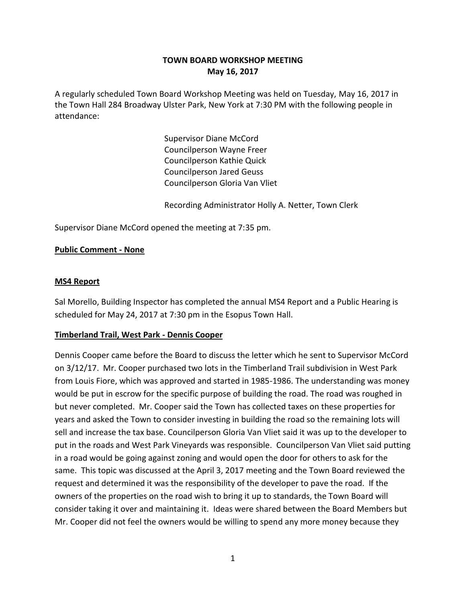# **TOWN BOARD WORKSHOP MEETING May 16, 2017**

A regularly scheduled Town Board Workshop Meeting was held on Tuesday, May 16, 2017 in the Town Hall 284 Broadway Ulster Park, New York at 7:30 PM with the following people in attendance:

> Supervisor Diane McCord Councilperson Wayne Freer Councilperson Kathie Quick Councilperson Jared Geuss Councilperson Gloria Van Vliet

Recording Administrator Holly A. Netter, Town Clerk

Supervisor Diane McCord opened the meeting at 7:35 pm.

#### **Public Comment - None**

#### **MS4 Report**

Sal Morello, Building Inspector has completed the annual MS4 Report and a Public Hearing is scheduled for May 24, 2017 at 7:30 pm in the Esopus Town Hall.

#### **Timberland Trail, West Park - Dennis Cooper**

Dennis Cooper came before the Board to discuss the letter which he sent to Supervisor McCord on 3/12/17. Mr. Cooper purchased two lots in the Timberland Trail subdivision in West Park from Louis Fiore, which was approved and started in 1985-1986. The understanding was money would be put in escrow for the specific purpose of building the road. The road was roughed in but never completed. Mr. Cooper said the Town has collected taxes on these properties for years and asked the Town to consider investing in building the road so the remaining lots will sell and increase the tax base. Councilperson Gloria Van Vliet said it was up to the developer to put in the roads and West Park Vineyards was responsible. Councilperson Van Vliet said putting in a road would be going against zoning and would open the door for others to ask for the same. This topic was discussed at the April 3, 2017 meeting and the Town Board reviewed the request and determined it was the responsibility of the developer to pave the road. If the owners of the properties on the road wish to bring it up to standards, the Town Board will consider taking it over and maintaining it. Ideas were shared between the Board Members but Mr. Cooper did not feel the owners would be willing to spend any more money because they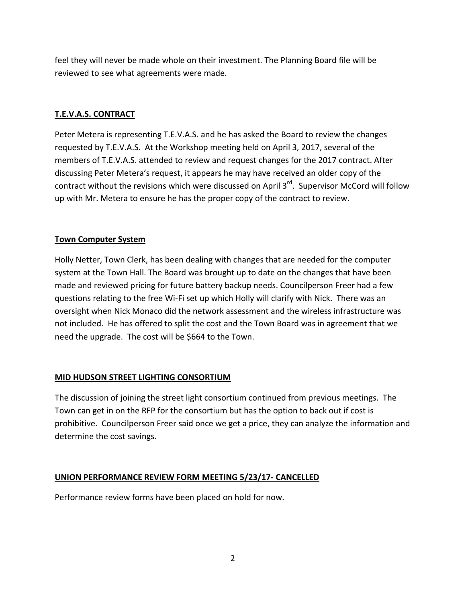feel they will never be made whole on their investment. The Planning Board file will be reviewed to see what agreements were made.

## **T.E.V.A.S. CONTRACT**

Peter Metera is representing T.E.V.A.S. and he has asked the Board to review the changes requested by T.E.V.A.S. At the Workshop meeting held on April 3, 2017, several of the members of T.E.V.A.S. attended to review and request changes for the 2017 contract. After discussing Peter Metera's request, it appears he may have received an older copy of the contract without the revisions which were discussed on April 3<sup>rd</sup>. Supervisor McCord will follow up with Mr. Metera to ensure he has the proper copy of the contract to review.

## **Town Computer System**

Holly Netter, Town Clerk, has been dealing with changes that are needed for the computer system at the Town Hall. The Board was brought up to date on the changes that have been made and reviewed pricing for future battery backup needs. Councilperson Freer had a few questions relating to the free Wi-Fi set up which Holly will clarify with Nick. There was an oversight when Nick Monaco did the network assessment and the wireless infrastructure was not included. He has offered to split the cost and the Town Board was in agreement that we need the upgrade. The cost will be \$664 to the Town.

## **MID HUDSON STREET LIGHTING CONSORTIUM**

The discussion of joining the street light consortium continued from previous meetings. The Town can get in on the RFP for the consortium but has the option to back out if cost is prohibitive. Councilperson Freer said once we get a price, they can analyze the information and determine the cost savings.

## **UNION PERFORMANCE REVIEW FORM MEETING 5/23/17- CANCELLED**

Performance review forms have been placed on hold for now.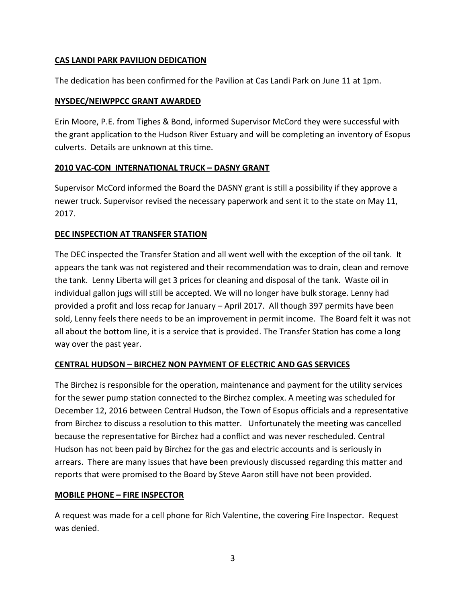## **CAS LANDI PARK PAVILION DEDICATION**

The dedication has been confirmed for the Pavilion at Cas Landi Park on June 11 at 1pm.

#### **NYSDEC/NEIWPPCC GRANT AWARDED**

Erin Moore, P.E. from Tighes & Bond, informed Supervisor McCord they were successful with the grant application to the Hudson River Estuary and will be completing an inventory of Esopus culverts. Details are unknown at this time.

## **2010 VAC-CON INTERNATIONAL TRUCK – DASNY GRANT**

Supervisor McCord informed the Board the DASNY grant is still a possibility if they approve a newer truck. Supervisor revised the necessary paperwork and sent it to the state on May 11, 2017.

# **DEC INSPECTION AT TRANSFER STATION**

The DEC inspected the Transfer Station and all went well with the exception of the oil tank. It appears the tank was not registered and their recommendation was to drain, clean and remove the tank. Lenny Liberta will get 3 prices for cleaning and disposal of the tank. Waste oil in individual gallon jugs will still be accepted. We will no longer have bulk storage. Lenny had provided a profit and loss recap for January – April 2017. All though 397 permits have been sold, Lenny feels there needs to be an improvement in permit income. The Board felt it was not all about the bottom line, it is a service that is provided. The Transfer Station has come a long way over the past year.

## **CENTRAL HUDSON – BIRCHEZ NON PAYMENT OF ELECTRIC AND GAS SERVICES**

The Birchez is responsible for the operation, maintenance and payment for the utility services for the sewer pump station connected to the Birchez complex. A meeting was scheduled for December 12, 2016 between Central Hudson, the Town of Esopus officials and a representative from Birchez to discuss a resolution to this matter. Unfortunately the meeting was cancelled because the representative for Birchez had a conflict and was never rescheduled. Central Hudson has not been paid by Birchez for the gas and electric accounts and is seriously in arrears. There are many issues that have been previously discussed regarding this matter and reports that were promised to the Board by Steve Aaron still have not been provided.

## **MOBILE PHONE – FIRE INSPECTOR**

A request was made for a cell phone for Rich Valentine, the covering Fire Inspector. Request was denied.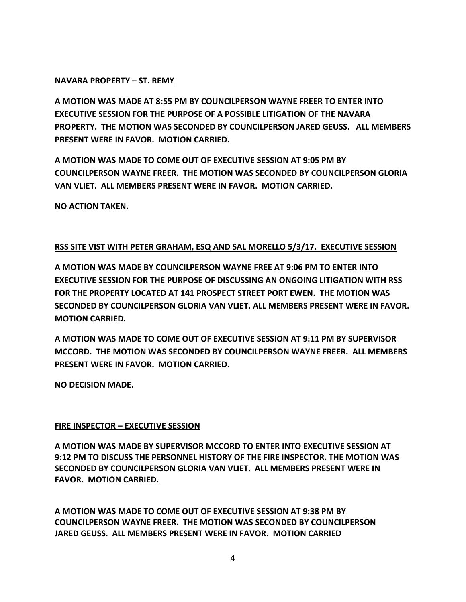#### **NAVARA PROPERTY – ST. REMY**

**A MOTION WAS MADE AT 8:55 PM BY COUNCILPERSON WAYNE FREER TO ENTER INTO EXECUTIVE SESSION FOR THE PURPOSE OF A POSSIBLE LITIGATION OF THE NAVARA PROPERTY. THE MOTION WAS SECONDED BY COUNCILPERSON JARED GEUSS. ALL MEMBERS PRESENT WERE IN FAVOR. MOTION CARRIED.**

**A MOTION WAS MADE TO COME OUT OF EXECUTIVE SESSION AT 9:05 PM BY COUNCILPERSON WAYNE FREER. THE MOTION WAS SECONDED BY COUNCILPERSON GLORIA VAN VLIET. ALL MEMBERS PRESENT WERE IN FAVOR. MOTION CARRIED.**

**NO ACTION TAKEN.**

## **RSS SITE VIST WITH PETER GRAHAM, ESQ AND SAL MORELLO 5/3/17. EXECUTIVE SESSION**

**A MOTION WAS MADE BY COUNCILPERSON WAYNE FREE AT 9:06 PM TO ENTER INTO EXECUTIVE SESSION FOR THE PURPOSE OF DISCUSSING AN ONGOING LITIGATION WITH RSS FOR THE PROPERTY LOCATED AT 141 PROSPECT STREET PORT EWEN. THE MOTION WAS SECONDED BY COUNCILPERSON GLORIA VAN VLIET. ALL MEMBERS PRESENT WERE IN FAVOR. MOTION CARRIED.**

**A MOTION WAS MADE TO COME OUT OF EXECUTIVE SESSION AT 9:11 PM BY SUPERVISOR MCCORD. THE MOTION WAS SECONDED BY COUNCILPERSON WAYNE FREER. ALL MEMBERS PRESENT WERE IN FAVOR. MOTION CARRIED.**

**NO DECISION MADE.**

## **FIRE INSPECTOR – EXECUTIVE SESSION**

**A MOTION WAS MADE BY SUPERVISOR MCCORD TO ENTER INTO EXECUTIVE SESSION AT 9:12 PM TO DISCUSS THE PERSONNEL HISTORY OF THE FIRE INSPECTOR. THE MOTION WAS SECONDED BY COUNCILPERSON GLORIA VAN VLIET. ALL MEMBERS PRESENT WERE IN FAVOR. MOTION CARRIED.**

**A MOTION WAS MADE TO COME OUT OF EXECUTIVE SESSION AT 9:38 PM BY COUNCILPERSON WAYNE FREER. THE MOTION WAS SECONDED BY COUNCILPERSON JARED GEUSS. ALL MEMBERS PRESENT WERE IN FAVOR. MOTION CARRIED**